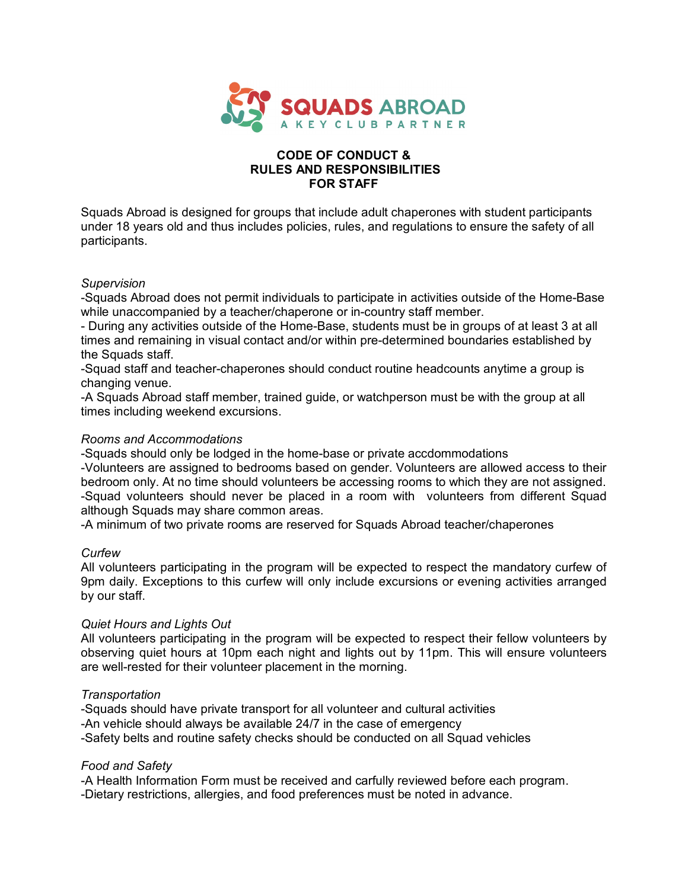

## **CODE OF CONDUCT & RULES AND RESPONSIBILITIES FOR STAFF**

Squads Abroad is designed for groups that include adult chaperones with student participants under 18 years old and thus includes policies, rules, and regulations to ensure the safety of all participants.

## *Supervision*

-Squads Abroad does not permit individuals to participate in activities outside of the Home-Base while unaccompanied by a teacher/chaperone or in-country staff member.

- During any activities outside of the Home-Base, students must be in groups of at least 3 at all times and remaining in visual contact and/or within pre-determined boundaries established by the Squads staff.

-Squad staff and teacher-chaperones should conduct routine headcounts anytime a group is changing venue.

-A Squads Abroad staff member, trained guide, or watchperson must be with the group at all times including weekend excursions.

## *Rooms and Accommodations*

-Squads should only be lodged in the home-base or private accdommodations

-Volunteers are assigned to bedrooms based on gender. Volunteers are allowed access to their bedroom only. At no time should volunteers be accessing rooms to which they are not assigned. -Squad volunteers should never be placed in a room with volunteers from different Squad although Squads may share common areas.

-A minimum of two private rooms are reserved for Squads Abroad teacher/chaperones

## *Curfew*

All volunteers participating in the program will be expected to respect the mandatory curfew of 9pm daily. Exceptions to this curfew will only include excursions or evening activities arranged by our staff.

## *Quiet Hours and Lights Out*

All volunteers participating in the program will be expected to respect their fellow volunteers by observing quiet hours at 10pm each night and lights out by 11pm. This will ensure volunteers are well-rested for their volunteer placement in the morning.

## *Transportation*

-Squads should have private transport for all volunteer and cultural activities -An vehicle should always be available 24/7 in the case of emergency -Safety belts and routine safety checks should be conducted on all Squad vehicles

## *Food and Safety*

-A Health Information Form must be received and carfully reviewed before each program.

-Dietary restrictions, allergies, and food preferences must be noted in advance.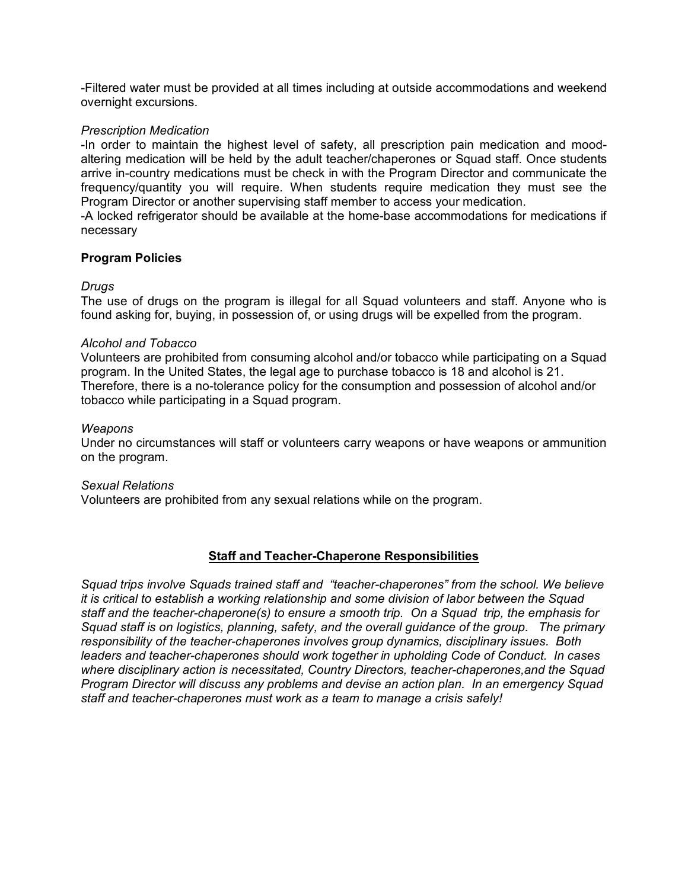-Filtered water must be provided at all times including at outside accommodations and weekend overnight excursions.

## *Prescription Medication*

-In order to maintain the highest level of safety, all prescription pain medication and moodaltering medication will be held by the adult teacher/chaperones or Squad staff. Once students arrive in-country medications must be check in with the Program Director and communicate the frequency/quantity you will require. When students require medication they must see the Program Director or another supervising staff member to access your medication.

-A locked refrigerator should be available at the home-base accommodations for medications if necessary

## **Program Policies**

## *Drugs*

The use of drugs on the program is illegal for all Squad volunteers and staff. Anyone who is found asking for, buying, in possession of, or using drugs will be expelled from the program.

## *Alcohol and Tobacco*

Volunteers are prohibited from consuming alcohol and/or tobacco while participating on a Squad program. In the United States, the legal age to purchase tobacco is 18 and alcohol is 21. Therefore, there is a no-tolerance policy for the consumption and possession of alcohol and/or tobacco while participating in a Squad program.

## *Weapons*

Under no circumstances will staff or volunteers carry weapons or have weapons or ammunition on the program.

## *Sexual Relations*

Volunteers are prohibited from any sexual relations while on the program.

## **Staff and Teacher-Chaperone Responsibilities**

*Squad trips involve Squads trained staff and "teacher-chaperones" from the school. We believe it is critical to establish a working relationship and some division of labor between the Squad staff and the teacher-chaperone(s) to ensure a smooth trip. On a Squad trip, the emphasis for Squad staff is on logistics, planning, safety, and the overall guidance of the group. The primary responsibility of the teacher-chaperones involves group dynamics, disciplinary issues. Both leaders and teacher-chaperones should work together in upholding Code of Conduct. In cases where disciplinary action is necessitated, Country Directors, teacher-chaperones,and the Squad Program Director will discuss any problems and devise an action plan. In an emergency Squad staff and teacher-chaperones must work as a team to manage a crisis safely!*